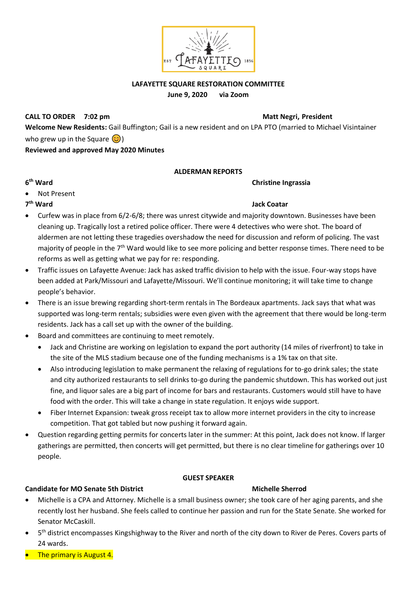

### **LAFAYETTE SQUARE RESTORATION COMMITTEE June 9, 2020 via Zoom**

**CALL TO ORDER** 7:02 pm

**Welcome New Residents:** Gail Buffington; Gail is a new resident and on LPA PTO (married to Michael Visintainer who grew up in the Square  $\circled{c}$ ) **Reviewed and approved May 2020 Minutes**

### **ALDERMAN REPORTS**

**Christine Ingrassia** 

- **6**
- Not Present

# 7<sup>th</sup> Ward

### **Jack Coatar**

- Curfew was in place from 6/2-6/8; there was unrest citywide and majority downtown. Businesses have been cleaning up. Tragically lost a retired police officer. There were 4 detectives who were shot. The board of aldermen are not letting these tragedies overshadow the need for discussion and reform of policing. The vast majority of people in the 7<sup>th</sup> Ward would like to see more policing and better response times. There need to be reforms as well as getting what we pay for re: responding.
- Traffic issues on Lafayette Avenue: Jack has asked traffic division to help with the issue. Four-way stops have been added at Park/Missouri and Lafayette/Missouri. We'll continue monitoring; it will take time to change people's behavior.
- There is an issue brewing regarding short-term rentals in The Bordeaux apartments. Jack says that what was supported was long-term rentals; subsidies were even given with the agreement that there would be long-term residents. Jack has a call set up with the owner of the building.
- Board and committees are continuing to meet remotely.
	- Jack and Christine are working on legislation to expand the port authority (14 miles of riverfront) to take in the site of the MLS stadium because one of the funding mechanisms is a 1% tax on that site.
	- Also introducing legislation to make permanent the relaxing of regulations for to-go drink sales; the state and city authorized restaurants to sell drinks to-go during the pandemic shutdown. This has worked out just fine, and liquor sales are a big part of income for bars and restaurants. Customers would still have to have food with the order. This will take a change in state regulation. It enjoys wide support.
	- Fiber Internet Expansion: tweak gross receipt tax to allow more internet providers in the city to increase competition. That got tabled but now pushing it forward again.
- Question regarding getting permits for concerts later in the summer: At this point, Jack does not know. If larger gatherings are permitted, then concerts will get permitted, but there is no clear timeline for gatherings over 10 people.

### **GUEST SPEAKER**

### **Candidate for MO Senate 5th District Michelle Sherrod Michelle Sherrod**

- Michelle is a CPA and Attorney. Michelle is a small business owner; she took care of her aging parents, and she recently lost her husband. She feels called to continue her passion and run for the State Senate. She worked for Senator McCaskill.
- 5<sup>th</sup> district encompasses Kingshighway to the River and north of the city down to River de Peres. Covers parts of 24 wards.
- **The primary is August 4.**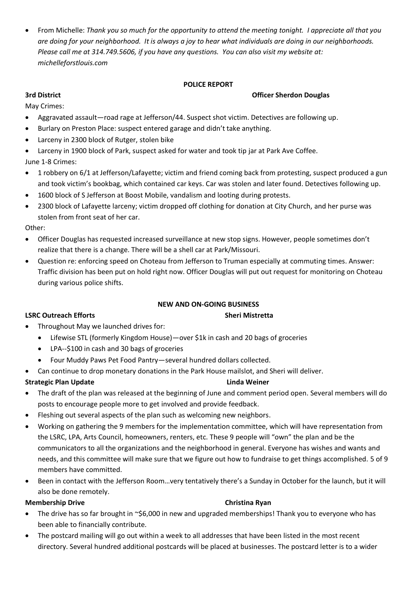• From Michelle: *Thank you so much for the opportunity to attend the meeting tonight. I appreciate all that you are doing for your neighborhood. It is always a joy to hear what individuals are doing in our neighborhoods. Please call me at 314.749.5606, if you have any questions. You can also visit my website at: michelleforstlouis.com*

## **POLICE REPORT**

## **3rd District Officer Sherdon Douglas**

May Crimes:

- Aggravated assault—road rage at Jefferson/44. Suspect shot victim. Detectives are following up.
- Burlary on Preston Place: suspect entered garage and didn't take anything.
- Larceny in 2300 block of Rutger, stolen bike
- Larceny in 1900 block of Park, suspect asked for water and took tip jar at Park Ave Coffee. June 1-8 Crimes:
- 1 robbery on 6/1 at Jefferson/Lafayette; victim and friend coming back from protesting, suspect produced a gun and took victim's bookbag, which contained car keys. Car was stolen and later found. Detectives following up.
- 1600 block of S Jefferson at Boost Mobile, vandalism and looting during protests.
- 2300 block of Lafayette larceny; victim dropped off clothing for donation at City Church, and her purse was stolen from front seat of her car.

Other:

- Officer Douglas has requested increased surveillance at new stop signs. However, people sometimes don't realize that there is a change. There will be a shell car at Park/Missouri.
- Question re: enforcing speed on Choteau from Jefferson to Truman especially at commuting times. Answer: Traffic division has been put on hold right now. Officer Douglas will put out request for monitoring on Choteau during various police shifts.

### **NEW AND ON-GOING BUSINESS**

### **LSRC Outreach Efforts** Sheri Mistretta

- Throughout May we launched drives for:
	- Lifewise STL (formerly Kingdom House)—over \$1k in cash and 20 bags of groceries
	- LPA--\$100 in cash and 30 bags of groceries
	- Four Muddy Paws Pet Food Pantry—several hundred dollars collected.
- Can continue to drop monetary donations in the Park House mailslot, and Sheri will deliver.

### **Strategic Plan Update Linda Weiner**

- The draft of the plan was released at the beginning of June and comment period open. Several members will do posts to encourage people more to get involved and provide feedback.
- Fleshing out several aspects of the plan such as welcoming new neighbors.
- Working on gathering the 9 members for the implementation committee, which will have representation from the LSRC, LPA, Arts Council, homeowners, renters, etc. These 9 people will "own" the plan and be the communicators to all the organizations and the neighborhood in general. Everyone has wishes and wants and needs, and this committee will make sure that we figure out how to fundraise to get things accomplished. 5 of 9 members have committed.
- Been in contact with the Jefferson Room…very tentatively there's a Sunday in October for the launch, but it will also be done remotely.

### **Membership Drive Christian Ryan**

- The drive has so far brought in ~\$6,000 in new and upgraded memberships! Thank you to everyone who has been able to financially contribute.
- The postcard mailing will go out within a week to all addresses that have been listed in the most recent directory. Several hundred additional postcards will be placed at businesses. The postcard letter is to a wider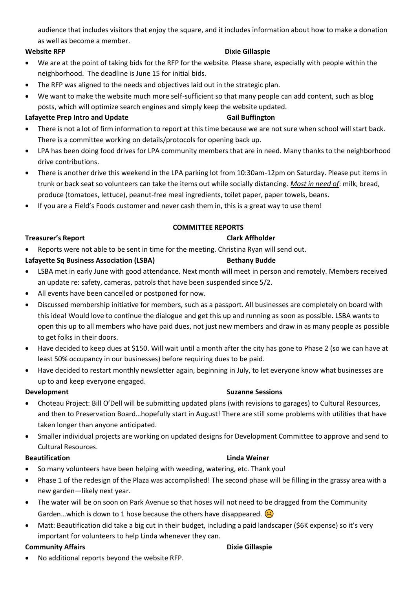audience that includes visitors that enjoy the square, and it includes information about how to make a donation as well as become a member.

## **Website RFP Contract Contract Contract Contract Contract Contract Contract Contract Contract Contract Contract Contract Contract Contract Contract Contract Contract Contract Contract Contract Contract Contract Contract Co**

- We are at the point of taking bids for the RFP for the website. Please share, especially with people within the neighborhood. The deadline is June 15 for initial bids.
- The RFP was aligned to the needs and objectives laid out in the strategic plan.
- We want to make the website much more self-sufficient so that many people can add content, such as blog posts, which will optimize search engines and simply keep the website updated.

## Lafayette Prep Intro and Update **Gail Buffington**

- There is not a lot of firm information to report at this time because we are not sure when school will start back. There is a committee working on details/protocols for opening back up.
- LPA has been doing food drives for LPA community members that are in need. Many thanks to the neighborhood drive contributions.
- There is another drive this weekend in the LPA parking lot from 10:30am-12pm on Saturday. Please put items in trunk or back seat so volunteers can take the items out while socially distancing. *Most in need of*: milk, bread, produce (tomatoes, lettuce), peanut-free meal ingredients, toilet paper, paper towels, beans.
- If you are a Field's Foods customer and never cash them in, this is a great way to use them!

# **COMMITTEE REPORTS**

### **Treasurer's Report** Clark Affholder

• Reports were not able to be sent in time for the meeting. Christina Ryan will send out.

## Lafayette Sq Business Association (LSBA) Bethany Budde

- LSBA met in early June with good attendance. Next month will meet in person and remotely. Members received an update re: safety, cameras, patrols that have been suspended since 5/2.
- All events have been cancelled or postponed for now.
- Discussed membership initiative for members, such as a passport. All businesses are completely on board with this idea! Would love to continue the dialogue and get this up and running as soon as possible. LSBA wants to open this up to all members who have paid dues, not just new members and draw in as many people as possible to get folks in their doors.
- Have decided to keep dues at \$150. Will wait until a month after the city has gone to Phase 2 (so we can have at least 50% occupancy in our businesses) before requiring dues to be paid.
- Have decided to restart monthly newsletter again, beginning in July, to let everyone know what businesses are up to and keep everyone engaged.

- Choteau Project: Bill O'Dell will be submitting updated plans (with revisions to garages) to Cultural Resources, and then to Preservation Board…hopefully start in August! There are still some problems with utilities that have taken longer than anyone anticipated.
- Smaller individual projects are working on updated designs for Development Committee to approve and send to Cultural Resources.

### **Beautification Linda Weiner**

- So many volunteers have been helping with weeding, watering, etc. Thank you!
- Phase 1 of the redesign of the Plaza was accomplished! The second phase will be filling in the grassy area with a new garden—likely next year.
- The water will be on soon on Park Avenue so that hoses will not need to be dragged from the Community Garden...which is down to 1 hose because the others have disappeared.  $\left\langle \cdot \right\rangle$
- Matt: Beautification did take a big cut in their budget, including a paid landscaper (\$6K expense) so it's very important for volunteers to help Linda whenever they can.

### **Community Affairs Community Affairs Community Affairs**

• No additional reports beyond the website RFP.

# **Development Suzanne Sessions Suzanne Sessions**